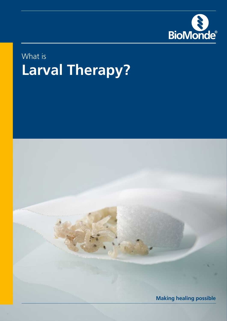

# What is **Larval Therapy?**

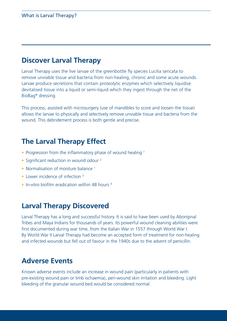### **Discover Larval Therapy**

Larval Therapy uses the live larvae of the greenbottle fly species Lucilia sericata to remove unviable tissue and bacteria from non-healing, chronic and some acute wounds. Larvae produce secretions that contain proteolytic enzymes which selectively liquidise devitalised tissue into a liquid or semi-liquid which they ingest through the net of the BioBag® dressing.

This process, assisted with microsurgery (use of mandibles to score and loosen the tissue) allows the larvae to physically and selectively remove unviable tissue and bacteria from the wound. This debridement process is both gentle and precise.

### **The Larval Therapy Effect**

- Progression from the inflammatory phase of wound healing <sup>1</sup>
- Significant reduction in wound odour<sup>2</sup>
- Normalisation of moisture balance<sup>1</sup>
- Lower incidence of infection <sup>3</sup>
- In-vitro biofilm eradication within 48 hours <sup>4</sup>

### **Larval Therapy Discovered**

Larval Therapy has a long and successful history. It is said to have been used by Aboriginal Tribes and Maya Indians for thousands of years. Its powerful wound cleaning abilities were first documented during war time, from the Italian War in 1557 through World War I. By World War II Larval Therapy had become an accepted form of treatment for non-healing and infected wounds but fell out of favour in the 1940s due to the advent of penicillin.

### **Adverse Events**

Known adverse events include an increase in wound pain (particularly in patients with pre-existing wound pain or limb ischaemia), peri-wound skin irritation and bleeding. Light bleeding of the granular wound bed would be considered normal.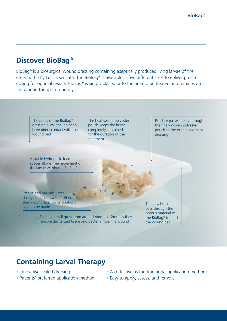### **Discover BioBag**®

BioBag® is a biosurgical wound dressing containing aseptically produced living larvae of the greenbottle fly Lucilia sericata. The BioBag® is available in five different sizes to deliver precise dosing for optimal results. BioBag® is simply placed onto the area to be treated and remains on the wound for up to four days.



## **Containing Larval Therapy**

- Innovative sealed dressing
- Patients' preferred application method <sup>5</sup>
- As effective as the traditional application method <sup>6</sup>
- Easy to apply, assess, and remove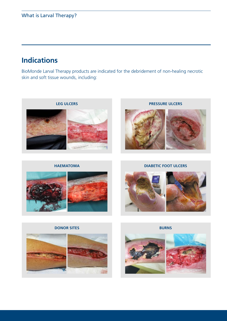### **Indications**

BioMonde Larval Therapy products are indicated for the debridement of non-healing necrotic skin and soft tissue wounds, including:



**HAEMATOMA**



**PRESSURE ULCERS**



**DIABETIC FOOT ULCERS**



#### **DONOR SITES**



**BURNS**

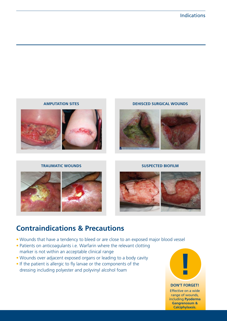

#### **TRAUMATIC WOUNDS SUSPECTED BIOFILM**





### **Contraindications & Precautions**

- Wounds that have a tendency to bleed or are close to an exposed major blood vessel
- Patients on anticoagulants i.e. Warfarin where the relevant clotting marker is not within an acceptable clinical range
- Wounds over adjacent exposed organs or leading to a body cavity
- If the patient is allergic to fly larvae or the components of the dressing including polyester and polyvinyl alcohol foam



#### **DON'T FORGET!**

Effective on a wide range of wounds, including **Pyoderma Gangrenosum & Calciphylaxsis.**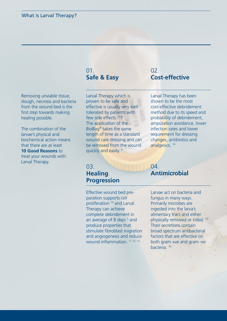#### 01. **Safe & Easy**

Removing unviable tissue, slough, necrosis and bacteria from the wound bed is the first step towards making healing possible.

The combination of the larvae's physical and biochemical action means that there are at least **10 Good Reasons** to treat your wounds with Larval Therapy.

Larval Therapy which is proven to be safe and effective is usually very well tolerated by patients with few side effects.<sup>7,8</sup> The application of the BioBag® takes the same length of time as a standard wound care dressing and can be removed from the wound quickly and easily.<sup>9</sup>

#### $02<sup>2</sup>$ **Cost-effective**

Larval Therapy has been shown to be the most cost-effective debridement method due to its speed and probability of debridement, amputation avoidance, lower infection rates and lower requirement for dressing changes, antibiotics and analgesics. 14

#### 03. **Healing Progression**

Effective wound bed preparation supports cell proliferation 10 and Larval Therapy can achieve complete debridement in an average of 8 days  $3$  and produce properties that stimulate fibroblast migration and angiogenesis and reduce wound inflammation.<sup>11 12, 13,</sup>

#### 04. **Antimicrobial**

Larvae act on bacteria and fungus in many ways. Primarily microbes are ingested into the larva's alimentary tract and either physically removed or killed. 15 Their secretions contain broad spectrum antibacterial factors that are effective on both gram +ve and gram -ve bacteria. 16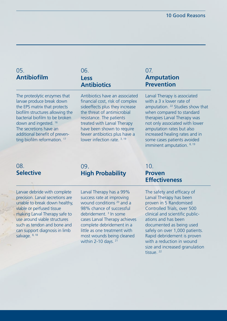### 05. **Antibiofilm**

06. **Less Antibiotics**

The proteolytic enzymes that larvae produce break down the EPS matrix that protects biofilm structures allowing the bacterial biofilm to be broken down and ingested. 16 The secretions have an additional benefit of preventing biofilm reformation.<sup>17</sup>

#### Antibiotics have an associated financial cost, risk of complex sideeffects plus they increase the threat of antimicrobial resistance. The patients treated with Larval Therapy have been shown to require fewer antibiotics plus have a lower infection rate. 3, 19

#### 07. **Amputation Prevention**

Larval Therapy is associated with a 3 x lower rate of amputation. 22 Studies show that when compared to standard therapies Larval Therapy was not only associated with lower amputation rates but also increased healing rates and in some cases patients avoided imminent amputation. 8, 19

#### 08. **Selective**

Larvae debride with complete precision. Larval secretions are unable to break down healthy, viable or perfused tissue making Larval Therapy safe to use around viable structures such as tendon and bone and can support diagnosis in limb salvage. 8, 18

#### 09. **High Probability**

Larval Therapy has a 99% success rate at improving wound conditions 20 and a 98% chance of successful debridement. 3 In some cases Larval Therapy achieves complete debridement in a little as one treatment with most wounds being cleaned within 2-10 days. 21

#### 10. **Proven Effectiveness**

The safety and efficacy of Larval Therapy has been proven in 5 Randomised Controlled Trials, over 500 clinical and scientific publications and has been documented as being used safely on over 1,000 patients. Rapid debridement is proven with a reduction in wound size and increased granulation tissue.<sup>22</sup>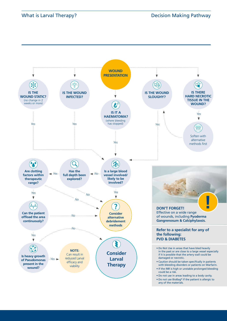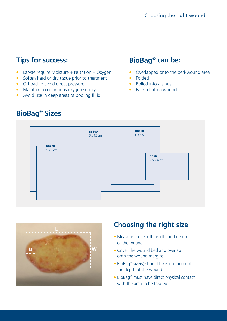### **Fips for success: Can be: BioBag® can be:**

- Larvae require Moisture + Nutrition + Oxygen
- Soften hard or dry tissue prior to treatment
- Offload to avoid direct pressure
- Maintain a continuous oxygen supply
- Avoid use in deep areas of pooling fluid

- Overlapped onto the peri-wound area
- Folded
- Rolled into a sinus
- Packed into a wound





### **Choosing the right size**

- Measure the length, width and depth of the wound
- Cover the wound bed and overlap onto the wound margins
- BioBag® size(s) should take into account the depth of the wound
- BioBag® must have direct physical contact with the area to be treated

### **BioBag® Sizes**